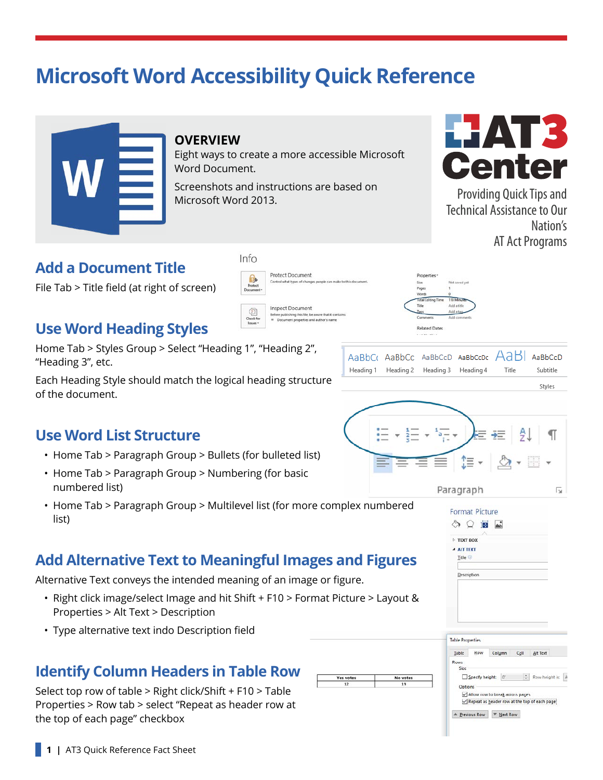# **Microsoft Word Accessibility Quick Reference**



#### **OVERVIEW**

Eight ways to create a more accessible Microsoft Word Document.

Protect Document

**Inspect Document** 

Yes vote:

No vote

Control what types of

Screenshots and instructions are based on Microsoft Word 2013.



Providing Quick Tips and Technical Assistance to Our Nation's AT Act Programs

#### **Add a Document Title**

File Tab > Title field (at right of screen)

#### **Use Word Heading Styles**

Home Tab > Styles Group > Select "Heading 1", "Heading 2", "Heading 3", etc.

Each Heading Style should match the logical heading structure of the document.

## und un Add a tit **Related Dates**

AaBL AaBbCr AaBbCc AaBbCcD AaBbCcDc AaBbCcD Heading 1 Heading 2 Heading 3 Heading 4 Title Subtitle Styles

## **Use Word List Structure**

- Home Tab > Paragraph Group > Bullets (for bulleted list)
- Home Tab > Paragraph Group > Numbering (for basic numbered list)
- Home Tab > Paragraph Group > Multilevel list (for more complex numbered list)

## **Add Alternative Text to Meaningful Images and Figures**

Alternative Text conveys the intended meaning of an image or figure.

- Right click image/select Image and hit Shift + F10 > Format Picture > Layout & Properties > Alt Text > Description
- Type alternative text indo Description field

## **Identify Column Headers in Table Row**

Select top row of table > Right click/Shift + F10 > Table Properties > Row tab > select "Repeat as header row at the top of each page" checkbox





 $\triangle$  Previous Row  $\triangle$  Mext Row



 $Info$ 

 $\theta$